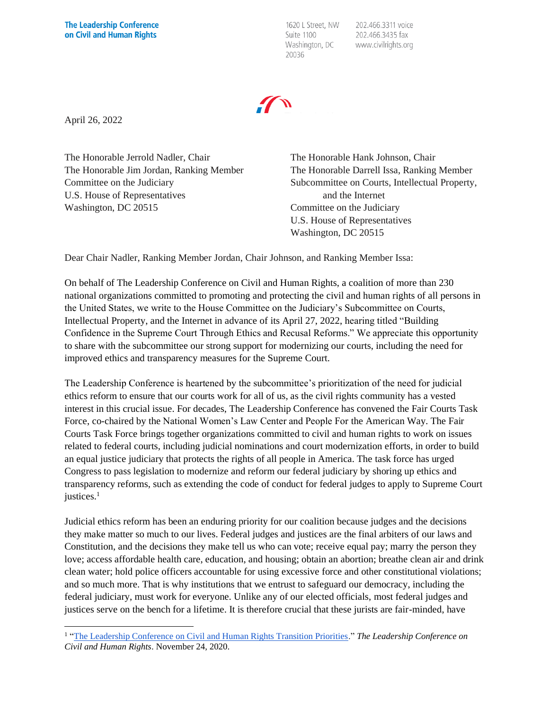1620 L Street, NW Suite 1100 Washington, DC 20036

202.466.3311 voice 202.466.3435 fax www.civilrights.org

April 26, 2022

The Honorable Jerrold Nadler, Chair The Honorable Jim Jordan, Ranking Member Committee on the Judiciary U.S. House of Representatives Washington, DC 20515

The Honorable Hank Johnson, Chair The Honorable Darrell Issa, Ranking Member Subcommittee on Courts, Intellectual Property, and the Internet Committee on the Judiciary U.S. House of Representatives Washington, DC 20515

Dear Chair Nadler, Ranking Member Jordan, Chair Johnson, and Ranking Member Issa:

On behalf of The Leadership Conference on Civil and Human Rights, a coalition of more than 230 national organizations committed to promoting and protecting the civil and human rights of all persons in the United States, we write to the House Committee on the Judiciary's Subcommittee on Courts, Intellectual Property, and the Internet in advance of its April 27, 2022, hearing titled "Building Confidence in the Supreme Court Through Ethics and Recusal Reforms." We appreciate this opportunity to share with the subcommittee our strong support for modernizing our courts, including the need for improved ethics and transparency measures for the Supreme Court.

The Leadership Conference is heartened by the subcommittee's prioritization of the need for judicial ethics reform to ensure that our courts work for all of us, as the civil rights community has a vested interest in this crucial issue. For decades, The Leadership Conference has convened the Fair Courts Task Force, co-chaired by the National Women's Law Center and People For the American Way. The Fair Courts Task Force brings together organizations committed to civil and human rights to work on issues related to federal courts, including judicial nominations and court modernization efforts, in order to build an equal justice judiciary that protects the rights of all people in America. The task force has urged Congress to pass legislation to modernize and reform our federal judiciary by shoring up ethics and transparency reforms, such as extending the code of conduct for federal judges to apply to Supreme Court justices. 1

Judicial ethics reform has been an enduring priority for our coalition because judges and the decisions they make matter so much to our lives. Federal judges and justices are the final arbiters of our laws and Constitution, and the decisions they make tell us who can vote; receive equal pay; marry the person they love; access affordable health care, education, and housing; obtain an abortion; breathe clean air and drink clean water; hold police officers accountable for using excessive force and other constitutional violations; and so much more. That is why institutions that we entrust to safeguard our democracy, including the federal judiciary, must work for everyone. Unlike any of our elected officials, most federal judges and justices serve on the bench for a lifetime. It is therefore crucial that these jurists are fair-minded, have

<sup>&</sup>lt;sup>1</sup> ["The Leadership Conference on Civil and Human Rights Transition Priorities.](http://civilrightsdocs.info/pdf/policy/task-force-priorities/Transition-TaskForceTopPriorities-The%20Leadership%20Conference-November2020-FINAL.pdf.)" The Leadership Conference on *Civil and Human Rights*. November 24, 2020.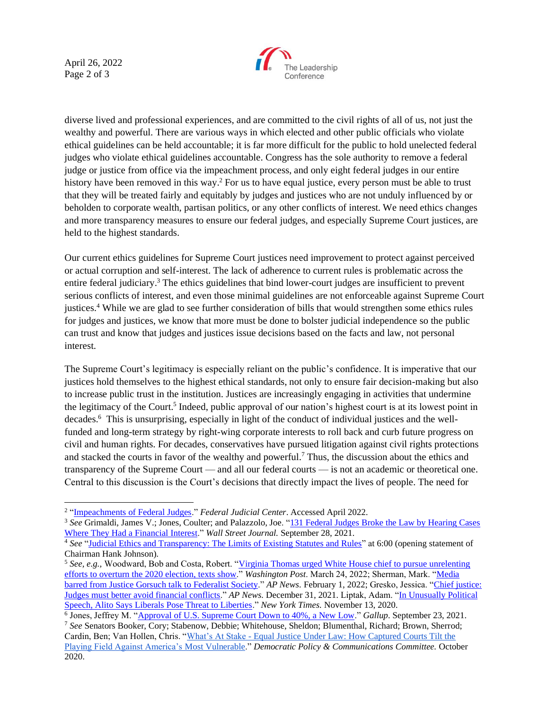April 26, 2022 Page 2 of 3



diverse lived and professional experiences, and are committed to the civil rights of all of us, not just the wealthy and powerful. There are various ways in which elected and other public officials who violate ethical guidelines can be held accountable; it is far more difficult for the public to hold unelected federal judges who violate ethical guidelines accountable. Congress has the sole authority to remove a federal judge or justice from office via the impeachment process, and only eight federal judges in our entire history have been removed in this way.<sup>2</sup> For us to have equal justice, every person must be able to trust that they will be treated fairly and equitably by judges and justices who are not unduly influenced by or beholden to corporate wealth, partisan politics, or any other conflicts of interest. We need ethics changes and more transparency measures to ensure our federal judges, and especially Supreme Court justices, are held to the highest standards.

Our current ethics guidelines for Supreme Court justices need improvement to protect against perceived or actual corruption and self-interest. The lack of adherence to current rules is problematic across the entire federal judiciary.<sup>3</sup> The ethics guidelines that bind lower-court judges are insufficient to prevent serious conflicts of interest, and even those minimal guidelines are not enforceable against Supreme Court justices. <sup>4</sup> While we are glad to see further consideration of bills that would strengthen some ethics rules for judges and justices, we know that more must be done to bolster judicial independence so the public can trust and know that judges and justices issue decisions based on the facts and law, not personal interest.

The Supreme Court's legitimacy is especially reliant on the public's confidence. It is imperative that our justices hold themselves to the highest ethical standards, not only to ensure fair decision-making but also to increase public trust in the institution. Justices are increasingly engaging in activities that undermine the legitimacy of the Court.<sup>5</sup> Indeed, public approval of our nation's highest court is at its lowest point in decades. <sup>6</sup> This is unsurprising, especially in light of the conduct of individual justices and the wellfunded and long-term strategy by right-wing corporate interests to roll back and curb future progress on civil and human rights. For decades, conservatives have pursued litigation against civil rights protections and stacked the courts in favor of the wealthy and powerful. <sup>7</sup> Thus, the discussion about the ethics and transparency of the Supreme Court — and all our federal courts — is not an academic or theoretical one. Central to this discussion is the Court's decisions that directly impact the lives of people. The need for

<sup>&</sup>lt;sup>2</sup> ["Impeachments of Federal Judges.](https://www.fjc.gov/history/judges/impeachments-federal-judges)" *Federal Judicial Center*. Accessed April 2022.

<sup>3</sup> *See* Grimaldi, James V.; Jones, Coulter; and Palazzolo, Joe. ["131 Federal Judges Broke the Law by Hearing Cases](https://www.wsj.com/articles/131-federal-judges-broke-the-law-by-hearing-cases-where-they-had-a-financial-interest-11632834421)  [Where They Had a Financial Interest.](https://www.wsj.com/articles/131-federal-judges-broke-the-law-by-hearing-cases-where-they-had-a-financial-interest-11632834421)" *Wall Street Journal.* September 28, 2021.

<sup>&</sup>lt;sup>4</sup> See ["Judicial Ethics and Transparency: The Limits of Existing Statutes and Rules"](https://judiciary.house.gov/calendar/eventsingle.aspx?EventID=4752) at 6:00 (opening statement of Chairman Hank Johnson).

<sup>&</sup>lt;sup>5</sup> See, e.g., Woodward, Bob and Costa, Robert. "Virginia Thomas urged White House chief to pursue unrelenting [efforts to overturn the 2020 election, texts show.](https://www.washingtonpost.com/politics/2022/03/24/virginia-thomas-mark-meadows-texts/)" *Washington Post*. March 24, 2022; Sherman, Mark. ["Media](https://apnews.com/article/coronavirus-pandemic-us-supreme-court-travel-health-ron-desantis-615d109c686464cbbd22b602ce58b27f)  [barred from Justice Gorsuch talk to Federalist Society.](https://apnews.com/article/coronavirus-pandemic-us-supreme-court-travel-health-ron-desantis-615d109c686464cbbd22b602ce58b27f)" *AP News.* February 1, 2022; Gresko, Jessica. ["Chief justice:](https://apnews.com/article/coronavirus-pandemic-us-supreme-court-health-judiciary-john-roberts-aebc82d2ead1ec003c4099ef72642dea)  [Judges must better avoid financial conflicts.](https://apnews.com/article/coronavirus-pandemic-us-supreme-court-health-judiciary-john-roberts-aebc82d2ead1ec003c4099ef72642dea)" *AP News.* December 31, 2021. Liptak, Adam. ["In Unusually Political](https://www.nytimes.com/2020/11/13/us/samuel-alito-religious-liberty-free-speech.html)  [Speech, Alito Says Liberals Pose Threat to Liberties.](https://www.nytimes.com/2020/11/13/us/samuel-alito-religious-liberty-free-speech.html)" *New York Times.* November 13, 2020.

<sup>&</sup>lt;sup>6</sup> Jones, Jeffrey M. ["Approval of U.S. Supreme Court Down to 40%, a New Low.](https://news.gallup.com/poll/354908/approval-supreme-court-down-new-low.aspx)" *Gallup*. September 23, 2021. <sup>7</sup> *See* Senators Booker, Cory; Stabenow, Debbie; Whitehouse, Sheldon; Blumenthal, Richard; Brown, Sherrod; Cardin, Ben; Van Hollen, Chris. "What's At Stake - [Equal Justice Under Law: How Captured Courts Tilt the](https://www.democrats.senate.gov/imo/media/doc/Captured%20Courts%20Equal%20Justice%20report.pdf)  [Playing Field Against America's Most Vulnerable.](https://www.democrats.senate.gov/imo/media/doc/Captured%20Courts%20Equal%20Justice%20report.pdf)" *Democratic Policy & Communications Committee.* October 2020.